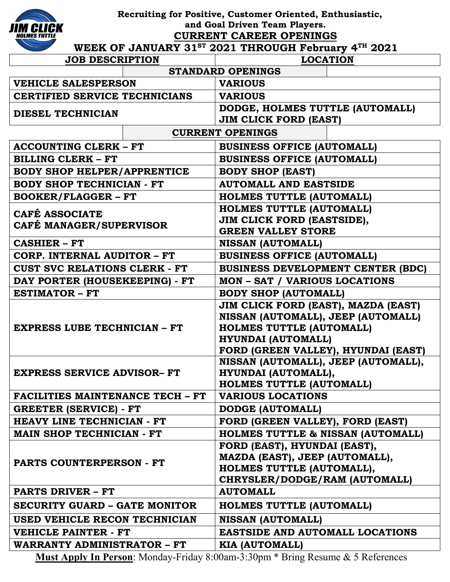

 **Recruiting for Positive, Customer Oriented, Enthusiastic, and Goal Driven Team Players.**

**CURRENT CAREER OPENINGS**

## WEEK OF JANUARY 31<sup>ST</sup> 2021 THROUGH February 4<sup>TH</sup> 2021

| <b>JOB DESCRIPTION</b>                    |  | <b>LOCATION</b>                                              |  |
|-------------------------------------------|--|--------------------------------------------------------------|--|
| <b>STANDARD OPENINGS</b>                  |  |                                                              |  |
| <b>VEHICLE SALESPERSON</b>                |  | <b>VARIOUS</b>                                               |  |
| <b>CERTIFIED SERVICE TECHNICIANS</b>      |  | <b>VARIOUS</b>                                               |  |
| DIESEL TECHNICIAN                         |  | DODGE, HOLMES TUTTLE (AUTOMALL)                              |  |
|                                           |  | <b>JIM CLICK FORD (EAST)</b>                                 |  |
|                                           |  | <b>CURRENT OPENINGS</b>                                      |  |
| <b>ACCOUNTING CLERK - FT</b>              |  | <b>BUSINESS OFFICE (AUTOMALL)</b>                            |  |
| <b>BILLING CLERK - FT</b>                 |  | <b>BUSINESS OFFICE (AUTOMALL)</b>                            |  |
| <b>BODY SHOP HELPER/APPRENTICE</b>        |  | <b>BODY SHOP (EAST)</b>                                      |  |
| <b>BODY SHOP TECHNICIAN - FT</b>          |  | <b>AUTOMALL AND EASTSIDE</b>                                 |  |
| <b>BOOKER/FLAGGER - FT</b>                |  | <b>HOLMES TUTTLE (AUTOMALL)</b>                              |  |
| CAFÉ ASSOCIATE<br>CAFÉ MANAGER/SUPERVISOR |  | <b>HOLMES TUTTLE (AUTOMALL)</b>                              |  |
|                                           |  | JIM CLICK FORD (EASTSIDE),                                   |  |
|                                           |  | <b>GREEN VALLEY STORE</b>                                    |  |
| <b>CASHIER - FT</b>                       |  | <b>NISSAN (AUTOMALL)</b>                                     |  |
| CORP. INTERNAL AUDITOR - FT               |  | <b>BUSINESS OFFICE (AUTOMALL)</b>                            |  |
| <b>CUST SVC RELATIONS CLERK - FT</b>      |  | <b>BUSINESS DEVELOPMENT CENTER (BDC)</b>                     |  |
| DAY PORTER (HOUSEKEEPING) - FT            |  | <b>MON - SAT / VARIOUS LOCATIONS</b>                         |  |
| <b>ESTIMATOR - FT</b>                     |  | <b>BODY SHOP (AUTOMALL)</b>                                  |  |
| <b>EXPRESS LUBE TECHNICIAN - FT</b>       |  | JIM CLICK FORD (EAST), MAZDA (EAST)                          |  |
|                                           |  | NISSAN (AUTOMALL), JEEP (AUTOMALL)                           |  |
|                                           |  | <b>HOLMES TUTTLE (AUTOMALL)</b><br><b>HYUNDAI (AUTOMALL)</b> |  |
|                                           |  | FORD (GREEN VALLEY), HYUNDAI (EAST)                          |  |
| <b>EXPRESS SERVICE ADVISOR- FT</b>        |  | NISSAN (AUTOMALL), JEEP (AUTOMALL),                          |  |
|                                           |  | HYUNDAI (AUTOMALL),                                          |  |
|                                           |  | HOLMES TUTTLE (AUTOMALL)                                     |  |
| <b>FACILITIES MAINTENANCE TECH - FT</b>   |  | <b>VARIOUS LOCATIONS</b>                                     |  |
| <b>GREETER (SERVICE) - FT</b>             |  | <b>DODGE (AUTOMALL)</b>                                      |  |
| HEAVY LINE TECHNICIAN - FT                |  | FORD (GREEN VALLEY), FORD (EAST)                             |  |
| <b>MAIN SHOP TECHNICIAN - FT</b>          |  | <b>HOLMES TUTTLE &amp; NISSAN (AUTOMALL)</b>                 |  |
|                                           |  | FORD (EAST), HYUNDAI (EAST),                                 |  |
| PARTS COUNTERPERSON - FT                  |  | MAZDA (EAST), JEEP (AUTOMALL),                               |  |
|                                           |  | HOLMES TUTTLE (AUTOMALL),                                    |  |
|                                           |  | CHRYSLER/DODGE/RAM (AUTOMALL)                                |  |
| <b>PARTS DRIVER - FT</b>                  |  | <b>AUTOMALL</b>                                              |  |
| SECURITY GUARD – GATE MONITOR             |  | <b>HOLMES TUTTLE (AUTOMALL)</b>                              |  |
| USED VEHICLE RECON TECHNICIAN             |  | <b>NISSAN (AUTOMALL)</b>                                     |  |
| <b>VEHICLE PAINTER - FT</b>               |  | <b>EASTSIDE AND AUTOMALL LOCATIONS</b>                       |  |
| <b>WARRANTY ADMINISTRATOR - FT</b>        |  | <b>KIA (AUTOMALL)</b>                                        |  |

**Must Apply In Person**: Monday-Friday 8:00am-3:30pm \* Bring Resume & 5 References